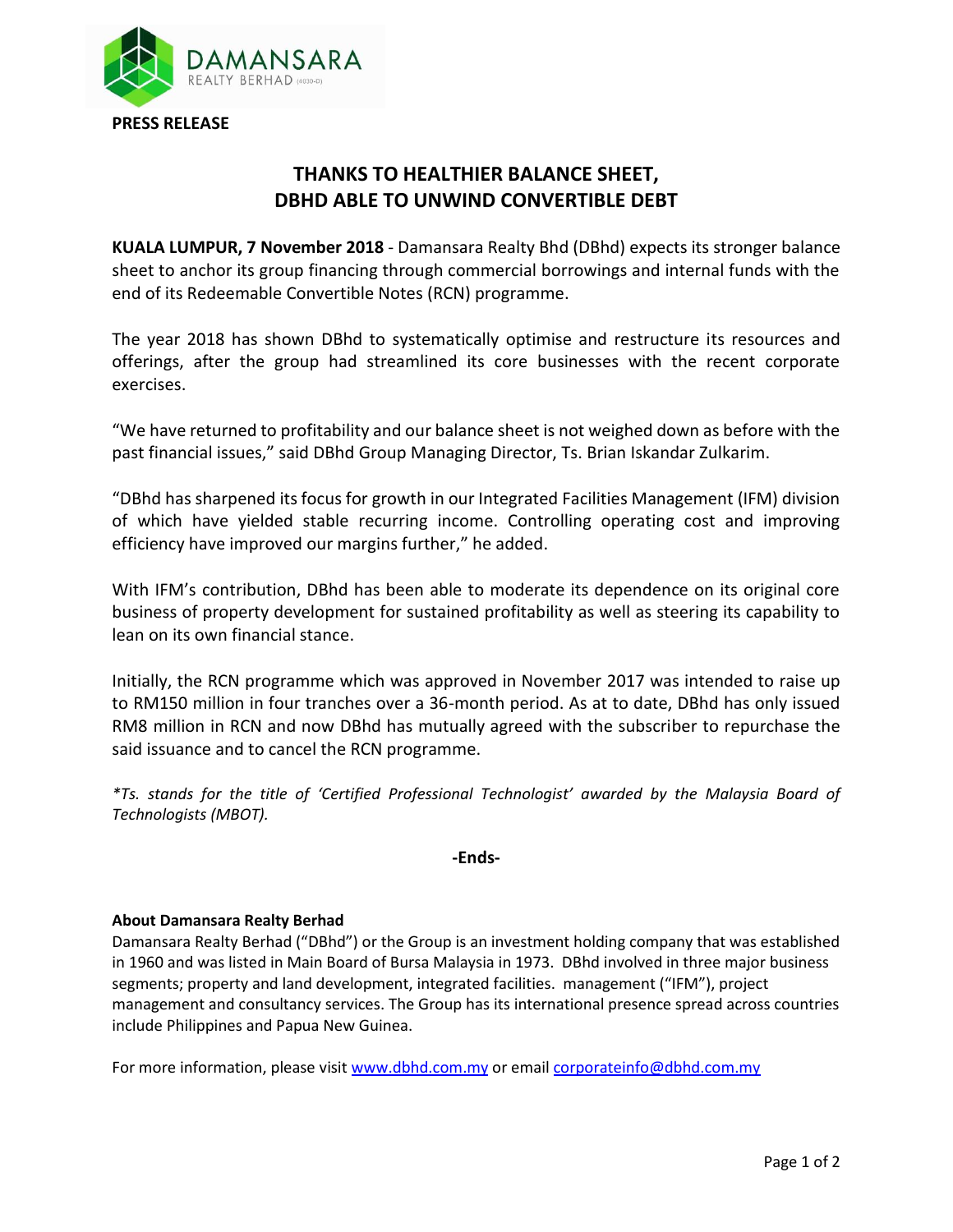

## **THANKS TO HEALTHIER BALANCE SHEET, DBHD ABLE TO UNWIND CONVERTIBLE DEBT**

**KUALA LUMPUR, 7 November 2018** - Damansara Realty Bhd (DBhd) expects its stronger balance sheet to anchor its group financing through commercial borrowings and internal funds with the end of its Redeemable Convertible Notes (RCN) programme.

The year 2018 has shown DBhd to systematically optimise and restructure its resources and offerings, after the group had streamlined its core businesses with the recent corporate exercises.

"We have returned to profitability and our balance sheet is not weighed down as before with the past financial issues," said DBhd Group Managing Director, Ts. Brian Iskandar Zulkarim.

"DBhd has sharpened its focus for growth in our Integrated Facilities Management (IFM) division of which have yielded stable recurring income. Controlling operating cost and improving efficiency have improved our margins further," he added.

With IFM's contribution, DBhd has been able to moderate its dependence on its original core business of property development for sustained profitability as well as steering its capability to lean on its own financial stance.

Initially, the RCN programme which was approved in November 2017 was intended to raise up to RM150 million in four tranches over a 36-month period. As at to date, DBhd has only issued RM8 million in RCN and now DBhd has mutually agreed with the subscriber to repurchase the said issuance and to cancel the RCN programme.

*\*Ts. stands for the title of 'Certified Professional Technologist' awarded by the Malaysia Board of Technologists (MBOT).*

## **-Ends-**

## **About Damansara Realty Berhad**

Damansara Realty Berhad ("DBhd") or the Group is an investment holding company that was established in 1960 and was listed in Main Board of Bursa Malaysia in 1973. DBhd involved in three major business segments; property and land development, integrated facilities. management ("IFM"), project management and consultancy services. The Group has its international presence spread across countries include Philippines and Papua New Guinea.

For more information, please visi[t www.dbhd.com.my](http://www.dbhd.com.my/) or emai[l corporateinfo@dbhd.com.my](mailto:corporateinfo@dbhd.com.my)